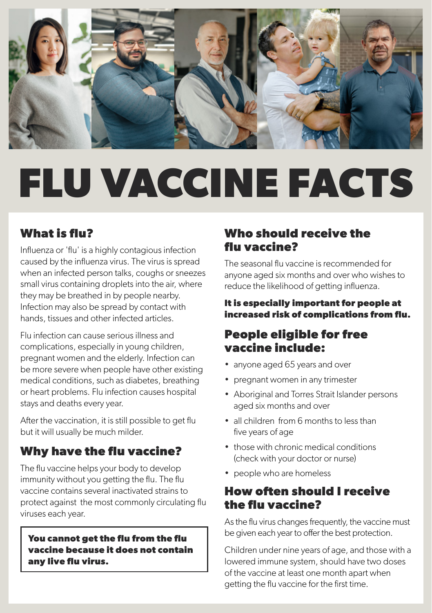

# **FLU VACCINE FACTS**

## **What is flu?**

Influenza or 'flu' is a highly contagious infection caused by the influenza virus. The virus is spread when an infected person talks, coughs or sneezes small virus containing droplets into the air, where they may be breathed in by people nearby. Infection may also be spread by contact with hands, tissues and other infected articles.

Flu infection can cause serious illness and complications, especially in young children, pregnant women and the elderly. Infection can be more severe when people have other existing medical conditions, such as diabetes, breathing or heart problems. Flu infection causes hospital stays and deaths every year.

After the vaccination, it is still possible to get flu but it will usually be much milder.

## **Why have the flu vaccine?**

The flu vaccine helps your body to develop immunity without you getting the flu. The flu vaccine contains several inactivated strains to protect against the most commonly circulating flu viruses each year.

**You cannot get the flu from the flu vaccine because it does not contain any live flu virus.**

#### **Who should receive the flu vaccine?**

The seasonal flu vaccine is recommended for anyone aged six months and over who wishes to reduce the likelihood of getting influenza.

#### **It is especially important for people at increased risk of complications from flu.**

#### **People eligible for free vaccine include:**

- anyone aged 65 years and over
- pregnant women in any trimester
- Aboriginal and Torres Strait Islander persons aged six months and over
- all children from 6 months to less than five years of age
- those with chronic medical conditions (check with your doctor or nurse)
- people who are homeless

#### **How often should I receive the flu vaccine?**

As the flu virus changes frequently, the vaccine must be given each year to offer the best protection.

Children under nine years of age, and those with a lowered immune system, should have two doses of the vaccine at least one month apart when getting the flu vaccine for the first time.